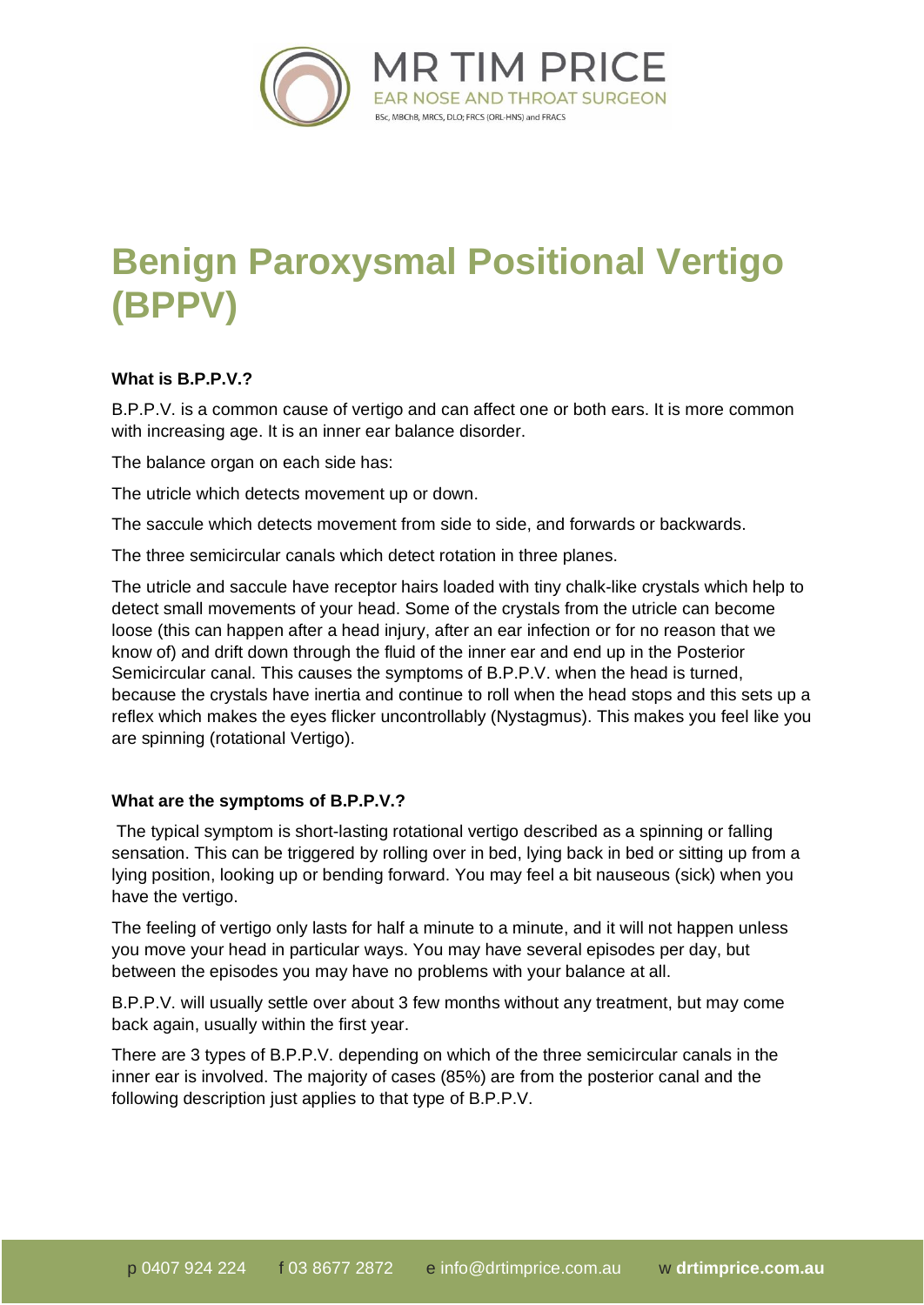

# **Benign Paroxysmal Positional Vertigo (BPPV)**

## **What is B.P.P.V.?**

B.P.P.V. is a common cause of vertigo and can affect one or both ears. It is more common with increasing age. It is an inner ear balance disorder.

The balance organ on each side has:

The utricle which detects movement up or down.

The saccule which detects movement from side to side, and forwards or backwards.

The three semicircular canals which detect rotation in three planes.

The utricle and saccule have receptor hairs loaded with tiny chalk-like crystals which help to detect small movements of your head. Some of the crystals from the utricle can become loose (this can happen after a head injury, after an ear infection or for no reason that we know of) and drift down through the fluid of the inner ear and end up in the Posterior Semicircular canal. This causes the symptoms of B.P.P.V. when the head is turned, because the crystals have inertia and continue to roll when the head stops and this sets up a reflex which makes the eyes flicker uncontrollably (Nystagmus). This makes you feel like you are spinning (rotational Vertigo).

### **What are the symptoms of B.P.P.V.?**

The typical symptom is short-lasting rotational vertigo described as a spinning or falling sensation. This can be triggered by rolling over in bed, lying back in bed or sitting up from a lying position, looking up or bending forward. You may feel a bit nauseous (sick) when you have the vertigo.

The feeling of vertigo only lasts for half a minute to a minute, and it will not happen unless you move your head in particular ways. You may have several episodes per day, but between the episodes you may have no problems with your balance at all.

B.P.P.V. will usually settle over about 3 few months without any treatment, but may come back again, usually within the first year.

There are 3 types of B.P.P.V. depending on which of the three semicircular canals in the inner ear is involved. The majority of cases (85%) are from the posterior canal and the following description just applies to that type of B.P.P.V.